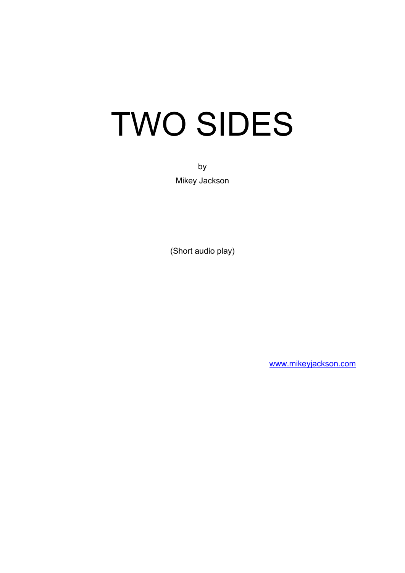# TWO SIDES

by Mikey Jackson

(Short audio play)

[www.mikeyjackson.com](http://www.mikeyjackson.com/)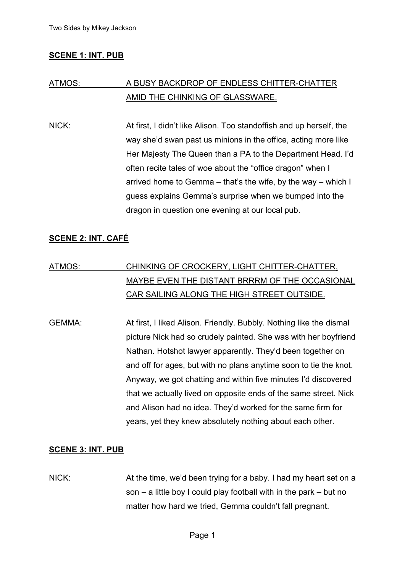# **SCENE 1: INT. PUB**

# ATMOS: A BUSY BACKDROP OF ENDLESS CHITTER-CHATTER AMID THE CHINKING OF GLASSWARE.

NICK: At first, I didn't like Alison. Too standoffish and up herself, the way she'd swan past us minions in the office, acting more like Her Majesty The Queen than a PA to the Department Head. I'd often recite tales of woe about the "office dragon" when I arrived home to Gemma – that's the wife, by the way – which I guess explains Gemma's surprise when we bumped into the dragon in question one evening at our local pub.

# **SCENE 2: INT. CAFÉ**

# ATMOS: CHINKING OF CROCKERY, LIGHT CHITTER-CHATTER, MAYBE EVEN THE DISTANT BRRRM OF THE OCCASIONAL CAR SAILING ALONG THE HIGH STREET OUTSIDE.

GEMMA: At first, I liked Alison. Friendly. Bubbly. Nothing like the dismal picture Nick had so crudely painted. She was with her boyfriend Nathan. Hotshot lawyer apparently. They'd been together on and off for ages, but with no plans anytime soon to tie the knot. Anyway, we got chatting and within five minutes I'd discovered that we actually lived on opposite ends of the same street. Nick and Alison had no idea. They'd worked for the same firm for years, yet they knew absolutely nothing about each other.

#### **SCENE 3: INT. PUB**

NICK: At the time, we'd been trying for a baby. I had my heart set on a son – a little boy I could play football with in the park – but no matter how hard we tried, Gemma couldn't fall pregnant.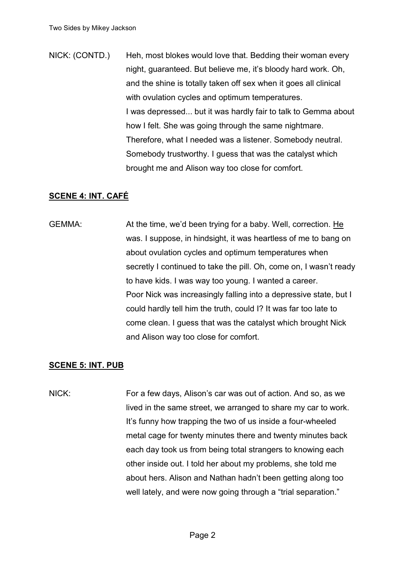NICK: (CONTD.) Heh, most blokes would love that. Bedding their woman every night, guaranteed. But believe me, it's bloody hard work. Oh, and the shine is totally taken off sex when it goes all clinical with ovulation cycles and optimum temperatures. I was depressed... but it was hardly fair to talk to Gemma about how I felt. She was going through the same nightmare. Therefore, what I needed was a listener. Somebody neutral. Somebody trustworthy. I guess that was the catalyst which brought me and Alison way too close for comfort.

### **SCENE 4: INT. CAFÉ**

GEMMA: At the time, we'd been trying for a baby. Well, correction. He was. I suppose, in hindsight, it was heartless of me to bang on about ovulation cycles and optimum temperatures when secretly I continued to take the pill. Oh, come on, I wasn't ready to have kids. I was way too young. I wanted a career. Poor Nick was increasingly falling into a depressive state, but I could hardly tell him the truth, could I? It was far too late to come clean. I guess that was the catalyst which brought Nick and Alison way too close for comfort.

#### **SCENE 5: INT. PUB**

NICK: For a few days, Alison's car was out of action. And so, as we lived in the same street, we arranged to share my car to work. It's funny how trapping the two of us inside a four-wheeled metal cage for twenty minutes there and twenty minutes back each day took us from being total strangers to knowing each other inside out. I told her about my problems, she told me about hers. Alison and Nathan hadn't been getting along too well lately, and were now going through a "trial separation."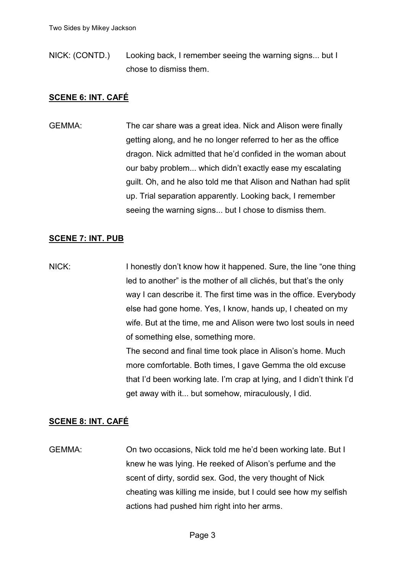NICK: (CONTD.) Looking back, I remember seeing the warning signs... but I chose to dismiss them.

# **SCENE 6: INT. CAFÉ**

GEMMA: The car share was a great idea. Nick and Alison were finally getting along, and he no longer referred to her as the office dragon. Nick admitted that he'd confided in the woman about our baby problem... which didn't exactly ease my escalating guilt. Oh, and he also told me that Alison and Nathan had split up. Trial separation apparently. Looking back, I remember seeing the warning signs... but I chose to dismiss them.

### **SCENE 7: INT. PUB**

NICK: I honestly don't know how it happened. Sure, the line "one thing led to another" is the mother of all clichés, but that's the only way I can describe it. The first time was in the office. Everybody else had gone home. Yes, I know, hands up, I cheated on my wife. But at the time, me and Alison were two lost souls in need of something else, something more. The second and final time took place in Alison's home. Much more comfortable. Both times, I gave Gemma the old excuse that I'd been working late. I'm crap at lying, and I didn't think I'd get away with it... but somehow, miraculously, I did.

# **SCENE 8: INT. CAFÉ**

GEMMA: On two occasions, Nick told me he'd been working late. But I knew he was lying. He reeked of Alison's perfume and the scent of dirty, sordid sex. God, the very thought of Nick cheating was killing me inside, but I could see how my selfish actions had pushed him right into her arms.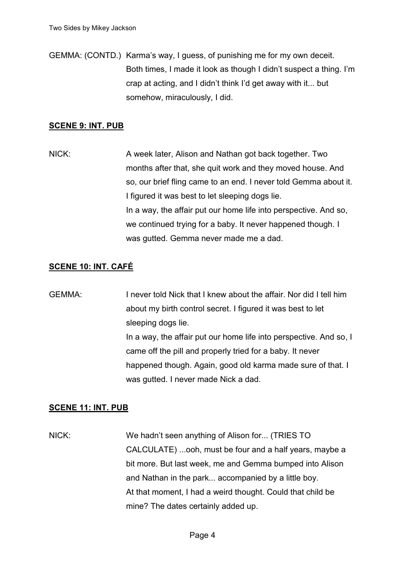GEMMA: (CONTD.) Karma's way, I guess, of punishing me for my own deceit. Both times, I made it look as though I didn't suspect a thing. I'm crap at acting, and I didn't think I'd get away with it... but somehow, miraculously, I did.

#### **SCENE 9: INT. PUB**

NICK: A week later, Alison and Nathan got back together. Two months after that, she quit work and they moved house. And so, our brief fling came to an end. I never told Gemma about it. I figured it was best to let sleeping dogs lie. In a way, the affair put our home life into perspective. And so, we continued trying for a baby. It never happened though. I was gutted. Gemma never made me a dad.

### **SCENE 10: INT. CAFÉ**

GEMMA: I never told Nick that I knew about the affair. Nor did I tell him about my birth control secret. I figured it was best to let sleeping dogs lie. In a way, the affair put our home life into perspective. And so, I came off the pill and properly tried for a baby. It never happened though. Again, good old karma made sure of that. I was gutted. I never made Nick a dad.

#### **SCENE 11: INT. PUB**

NICK: We hadn't seen anything of Alison for... (TRIES TO CALCULATE) ...ooh, must be four and a half years, maybe a bit more. But last week, me and Gemma bumped into Alison and Nathan in the park... accompanied by a little boy. At that moment, I had a weird thought. Could that child be mine? The dates certainly added up.